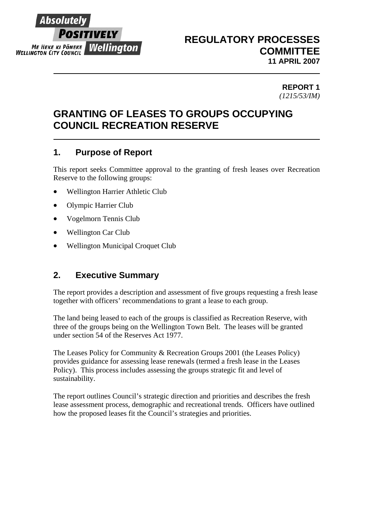

# **REGULATORY PROCESSES COMMITTEE 11 APRIL 2007**

### **REPORT 1**  *(1215/53/IM)*

# **GRANTING OF LEASES TO GROUPS OCCUPYING COUNCIL RECREATION RESERVE**

# **1. Purpose of Report**

This report seeks Committee approval to the granting of fresh leases over Recreation Reserve to the following groups:

- Wellington Harrier Athletic Club
- Olympic Harrier Club
- Vogelmorn Tennis Club
- Wellington Car Club
- Wellington Municipal Croquet Club

# **2. Executive Summary**

The report provides a description and assessment of five groups requesting a fresh lease together with officers' recommendations to grant a lease to each group.

The land being leased to each of the groups is classified as Recreation Reserve, with three of the groups being on the Wellington Town Belt. The leases will be granted under section 54 of the Reserves Act 1977.

The Leases Policy for Community & Recreation Groups 2001 (the Leases Policy) provides guidance for assessing lease renewals (termed a fresh lease in the Leases Policy). This process includes assessing the groups strategic fit and level of sustainability.

The report outlines Council's strategic direction and priorities and describes the fresh lease assessment process, demographic and recreational trends. Officers have outlined how the proposed leases fit the Council's strategies and priorities.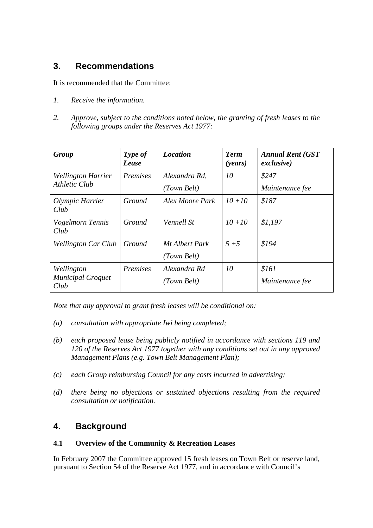# **3. Recommendations**

It is recommended that the Committee:

- *1. Receive the information.*
- *2. Approve, subject to the conditions noted below, the granting of fresh leases to the following groups under the Reserves Act 1977:*

| Group                                          | Type of<br>Lease | <b>Location</b>               | <b>Term</b><br>( <i>years</i> ) | <b>Annual Rent (GST</b><br>exclusive) |
|------------------------------------------------|------------------|-------------------------------|---------------------------------|---------------------------------------|
| <b>Wellington Harrier</b><br>Athletic Club     | Premises         | Alexandra Rd.<br>(Town Belt)  | 10                              | \$247<br>Maintenance fee              |
| Olympic Harrier<br>Club                        | Ground           | Alex Moore Park               | $10 + 10$                       | \$187                                 |
| Vogelmorn Tennis<br>Club                       | Ground           | Vennell St                    | $10 + 10$                       | \$1,197                               |
| <b>Wellington Car Club</b>                     | Ground           | Mt Albert Park<br>(Town Belt) | $5 + 5$                         | \$194                                 |
| Wellington<br><b>Municipal Croquet</b><br>Club | Premises         | Alexandra Rd<br>(Town Belt)   | 10                              | \$161<br>Maintenance fee              |

*Note that any approval to grant fresh leases will be conditional on:* 

- *(a) consultation with appropriate Iwi being completed;*
- *(b) each proposed lease being publicly notified in accordance with sections 119 and 120 of the Reserves Act 1977 together with any conditions set out in any approved Management Plans (e.g. Town Belt Management Plan);*
- *(c) each Group reimbursing Council for any costs incurred in advertising;*
- *(d) there being no objections or sustained objections resulting from the required consultation or notification.*

# **4. Background**

### **4.1 Overview of the Community & Recreation Leases**

In February 2007 the Committee approved 15 fresh leases on Town Belt or reserve land, pursuant to Section 54 of the Reserve Act 1977, and in accordance with Council's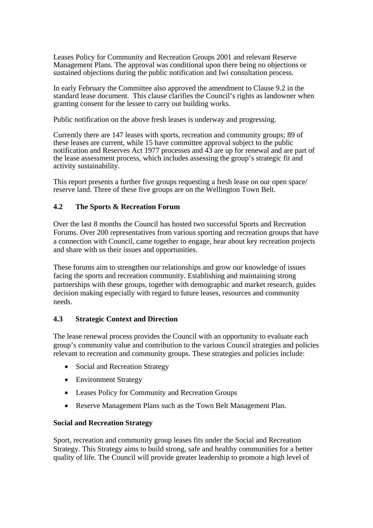Leases Policy for Community and Recreation Groups 2001 and relevant Reserve Management Plans. The approval was conditional upon there being no objections or sustained objections during the public notification and Iwi consultation process.

In early February the Committee also approved the amendment to Clause 9.2 in the standard lease document. This clause clarifies the Council's rights as landowner when granting consent for the lessee to carry out building works.

Public notification on the above fresh leases is underway and progressing.

Currently there are 147 leases with sports, recreation and community groups; 89 of these leases are current, while 15 have committee approval subject to the public notification and Reserves Act 1977 processes and 43 are up for renewal and are part of the lease assessment process, which includes assessing the group's strategic fit and activity sustainability.

This report presents a further five groups requesting a fresh lease on our open space/ reserve land. Three of these five groups are on the Wellington Town Belt.

### **4.2 The Sports & Recreation Forum**

Over the last 8 months the Council has hosted two successful Sports and Recreation Forums. Over 200 representatives from various sporting and recreation groups that have a connection with Council, came together to engage, hear about key recreation projects and share with us their issues and opportunities.

These forums aim to strengthen our relationships and grow our knowledge of issues facing the sports and recreation community. Establishing and maintaining strong partnerships with these groups, together with demographic and market research, guides decision making especially with regard to future leases, resources and community needs.

#### **4.3 Strategic Context and Direction**

The lease renewal process provides the Council with an opportunity to evaluate each group's community value and contribution to the various Council strategies and policies relevant to recreation and community groups. These strategies and policies include:

- Social and Recreation Strategy
- Environment Strategy
- Leases Policy for Community and Recreation Groups
- Reserve Management Plans such as the Town Belt Management Plan.

#### **Social and Recreation Strategy**

Sport, recreation and community group leases fits under the Social and Recreation Strategy. This Strategy aims to build strong, safe and healthy communities for a better quality of life. The Council will provide greater leadership to promote a high level of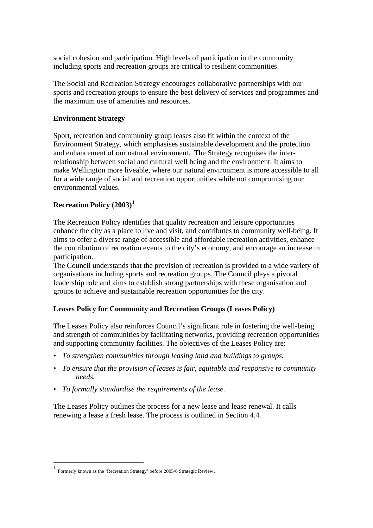social cohesion and participation. High levels of participation in the community including sports and recreation groups are critical to resilient communities.

The Social and Recreation Strategy encourages collaborative partnerships with our sports and recreation groups to ensure the best delivery of services and programmes and the maximum use of amenities and resources.

## **Environment Strategy**

Sport, recreation and community group leases also fit within the context of the Environment Strategy, which emphasises sustainable development and the protection and enhancement of our natural environment. The Strategy recognises the interrelationship between social and cultural well being and the environment. It aims to make Wellington more liveable, where our natural environment is more accessible to all for a wide range of social and recreation opportunities while not compromising our environmental values.

## **Recreation Policy (2003)[1](#page-3-0)**

The Recreation Policy identifies that quality recreation and leisure opportunities enhance the city as a place to live and visit, and contributes to community well-being. It aims to offer a diverse range of accessible and affordable recreation activities, enhance the contribution of recreation events to the city's economy, and encourage an increase in participation.

The Council understands that the provision of recreation is provided to a wide variety of organisations including sports and recreation groups. The Council plays a pivotal leadership role and aims to establish strong partnerships with these organisation and groups to achieve and sustainable recreation opportunities for the city.

### **Leases Policy for Community and Recreation Groups (Leases Policy)**

The Leases Policy also reinforces Council's significant role in fostering the well-being and strength of communities by facilitating networks, providing recreation opportunities and supporting community facilities. The objectives of the Leases Policy are:

- *To strengthen communities through leasing land and buildings to groups.*
- *To ensure that the provision of leases is fair, equitable and responsive to community needs.*
- *To formally standardise the requirements of the lease.*

The Leases Policy outlines the process for a new lease and lease renewal. It calls renewing a lease a fresh lease. The process is outlined in Section 4.4.

 $\overline{a}$ 

<span id="page-3-0"></span><sup>1</sup> Formerly known as the 'Recreation Strategy' before 2005/6 Strategic Review.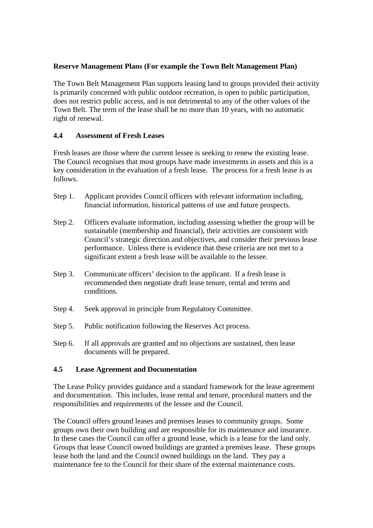### **Reserve Management Plans (For example the Town Belt Management Plan)**

The Town Belt Management Plan supports leasing land to groups provided their activity is primarily concerned with public outdoor recreation, is open to public participation, does not restrict public access, and is not detrimental to any of the other values of the Town Belt. The term of the lease shall be no more than 10 years, with no automatic right of renewal.

### **4.4 Assessment of Fresh Leases**

Fresh leases are those where the current lessee is seeking to renew the existing lease. The Council recognises that most groups have made investments in assets and this is a key consideration in the evaluation of a fresh lease. The process for a fresh lease is as follows.

- Step 1. Applicant provides Council officers with relevant information including, financial information, historical patterns of use and future prospects.
- Step 2. Officers evaluate information, including assessing whether the group will be sustainable (membership and financial), their activities are consistent with Council's strategic direction and objectives, and consider their previous lease performance. Unless there is evidence that these criteria are not met to a significant extent a fresh lease will be available to the lessee.
- Step 3. Communicate officers' decision to the applicant. If a fresh lease is recommended then negotiate draft lease tenure, rental and terms and conditions.
- Step 4. Seek approval in principle from Regulatory Committee.
- Step 5. Public notification following the Reserves Act process.
- Step 6. If all approvals are granted and no objections are sustained, then lease documents will be prepared.

### **4.5 Lease Agreement and Documentation**

The Lease Policy provides guidance and a standard framework for the lease agreement and documentation. This includes, lease rental and tenure, procedural matters and the responsibilities and requirements of the lessee and the Council.

The Council offers ground leases and premises leases to community groups. Some groups own their own building and are responsible for its maintenance and insurance. In these cases the Council can offer a ground lease, which is a lease for the land only. Groups that lease Council owned buildings are granted a premises lease. These groups lease both the land and the Council owned buildings on the land. They pay a maintenance fee to the Council for their share of the external maintenance costs.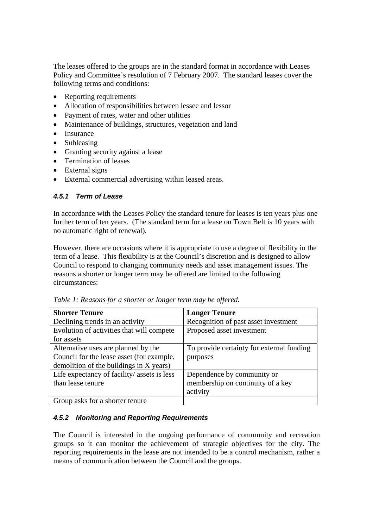The leases offered to the groups are in the standard format in accordance with Leases Policy and Committee's resolution of 7 February 2007. The standard leases cover the following terms and conditions:

- Reporting requirements
- Allocation of responsibilities between lessee and lessor
- Payment of rates, water and other utilities
- Maintenance of buildings, structures, vegetation and land
- Insurance
- Subleasing
- Granting security against a lease
- Termination of leases
- External signs
- External commercial advertising within leased areas.

### *4.5.1 Term of Lease*

In accordance with the Leases Policy the standard tenure for leases is ten years plus one further term of ten years. (The standard term for a lease on Town Belt is 10 years with no automatic right of renewal).

However, there are occasions where it is appropriate to use a degree of flexibility in the term of a lease. This flexibility is at the Council's discretion and is designed to allow Council to respond to changing community needs and asset management issues. The reasons a shorter or longer term may be offered are limited to the following circumstances:

| <b>Shorter Tenure</b>                       | <b>Longer Tenure</b>                      |
|---------------------------------------------|-------------------------------------------|
| Declining trends in an activity             | Recognition of past asset investment      |
| Evolution of activities that will compete   | Proposed asset investment                 |
| for assets                                  |                                           |
| Alternative uses are planned by the         | To provide certainty for external funding |
| Council for the lease asset (for example,   | purposes                                  |
| demolition of the buildings in X years)     |                                           |
| Life expectancy of facility/ assets is less | Dependence by community or                |
| than lease tenure                           | membership on continuity of a key         |
|                                             | activity                                  |
| Group asks for a shorter tenure             |                                           |

*Table 1: Reasons for a shorter or longer term may be offered.* 

#### *4.5.2 Monitoring and Reporting Requirements*

The Council is interested in the ongoing performance of community and recreation groups so it can monitor the achievement of strategic objectives for the city. The reporting requirements in the lease are not intended to be a control mechanism, rather a means of communication between the Council and the groups.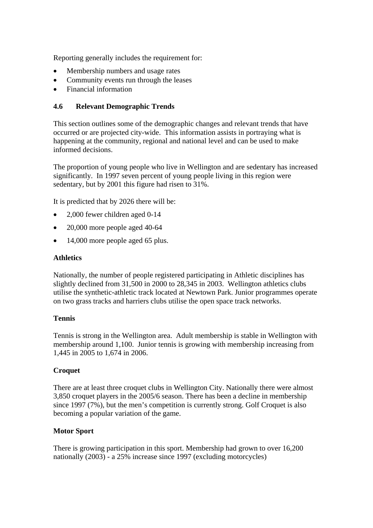Reporting generally includes the requirement for:

- Membership numbers and usage rates
- Community events run through the leases
- Financial information

### **4.6 Relevant Demographic Trends**

This section outlines some of the demographic changes and relevant trends that have occurred or are projected city-wide. This information assists in portraying what is happening at the community, regional and national level and can be used to make informed decisions.

The proportion of young people who live in Wellington and are sedentary has increased significantly. In 1997 seven percent of young people living in this region were sedentary, but by 2001 this figure had risen to 31%.

It is predicted that by 2026 there will be:

- 2,000 fewer children aged 0-14
- 20,000 more people aged 40-64
- 14,000 more people aged 65 plus.

#### **Athletics**

Nationally, the number of people registered participating in Athletic disciplines has slightly declined from 31,500 in 2000 to 28,345 in 2003. Wellington athletics clubs utilise the synthetic-athletic track located at Newtown Park. Junior programmes operate on two grass tracks and harriers clubs utilise the open space track networks.

#### **Tennis**

Tennis is strong in the Wellington area. Adult membership is stable in Wellington with membership around 1,100. Junior tennis is growing with membership increasing from 1,445 in 2005 to 1,674 in 2006.

#### **Croquet**

There are at least three croquet clubs in Wellington City. Nationally there were almost 3,850 croquet players in the 2005/6 season. There has been a decline in membership since 1997 (7%), but the men's competition is currently strong. Golf Croquet is also becoming a popular variation of the game.

#### **Motor Sport**

There is growing participation in this sport. Membership had grown to over 16,200 nationally (2003) - a 25% increase since 1997 (excluding motorcycles)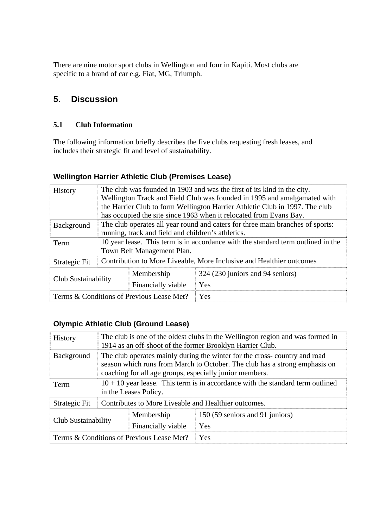There are nine motor sport clubs in Wellington and four in Kapiti. Most clubs are specific to a brand of car e.g. Fiat, MG, Triumph.

# **5. Discussion**

## **5.1 Club Information**

The following information briefly describes the five clubs requesting fresh leases, and includes their strategic fit and level of sustainability.

# **Wellington Harrier Athletic Club (Premises Lease)**

| <b>History</b>                                          | The club was founded in 1903 and was the first of its kind in the city.          |  |                                  |  |
|---------------------------------------------------------|----------------------------------------------------------------------------------|--|----------------------------------|--|
|                                                         | Wellington Track and Field Club was founded in 1995 and amalgamated with         |  |                                  |  |
|                                                         | the Harrier Club to form Wellington Harrier Athletic Club in 1997. The club      |  |                                  |  |
|                                                         | has occupied the site since 1963 when it relocated from Evans Bay.               |  |                                  |  |
| <b>Background</b>                                       | The club operates all year round and caters for three main branches of sports:   |  |                                  |  |
|                                                         | running, track and field and children's athletics.                               |  |                                  |  |
| Term                                                    | 10 year lease. This term is in accordance with the standard term outlined in the |  |                                  |  |
|                                                         | Town Belt Management Plan.                                                       |  |                                  |  |
| Strategic Fit                                           | Contribution to More Liveable, More Inclusive and Healthier outcomes             |  |                                  |  |
| Membership<br>Club Sustainability<br>Financially viable |                                                                                  |  | 324 (230 juniors and 94 seniors) |  |
|                                                         |                                                                                  |  | Yes                              |  |
| Terms & Conditions of Previous Lease Met?               |                                                                                  |  | Yes                              |  |

## **Olympic Athletic Club (Ground Lease)**

| <b>History</b>                                          | The club is one of the oldest clubs in the Wellington region and was formed in<br>1914 as an off-shoot of the former Brooklyn Harrier Club.                                                                        |  |                                 |
|---------------------------------------------------------|--------------------------------------------------------------------------------------------------------------------------------------------------------------------------------------------------------------------|--|---------------------------------|
| <b>Background</b>                                       | The club operates mainly during the winter for the cross-country and road<br>season which runs from March to October. The club has a strong emphasis on<br>coaching for all age groups, especially junior members. |  |                                 |
| Term                                                    | $10 + 10$ year lease. This term is in accordance with the standard term outlined<br>in the Leases Policy.                                                                                                          |  |                                 |
| Strategic Fit                                           | Contributes to More Liveable and Healthier outcomes.                                                                                                                                                               |  |                                 |
| Membership<br>Club Sustainability<br>Financially viable |                                                                                                                                                                                                                    |  | 150 (59 seniors and 91 juniors) |
|                                                         |                                                                                                                                                                                                                    |  | Yes                             |
| Terms & Conditions of Previous Lease Met?               |                                                                                                                                                                                                                    |  | Yes                             |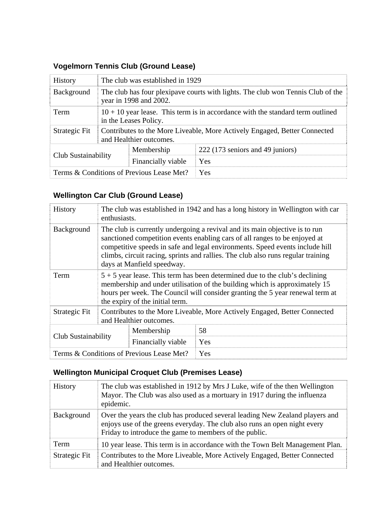| <b>History</b>                                                 | The club was established in 1929                                                                          |  |                                  |
|----------------------------------------------------------------|-----------------------------------------------------------------------------------------------------------|--|----------------------------------|
| Background                                                     | The club has four plexipave courts with lights. The club won Tennis Club of the<br>year in 1998 and 2002. |  |                                  |
| Term                                                           | $10 + 10$ year lease. This term is in accordance with the standard term outlined<br>in the Leases Policy. |  |                                  |
| Strategic Fit                                                  | Contributes to the More Liveable, More Actively Engaged, Better Connected<br>and Healthier outcomes.      |  |                                  |
| Membership<br><b>Club Sustainability</b><br>Financially viable |                                                                                                           |  | 222 (173 seniors and 49 juniors) |
|                                                                |                                                                                                           |  | Yes                              |
| Terms & Conditions of Previous Lease Met?                      |                                                                                                           |  | Yes                              |

# **Vogelmorn Tennis Club (Ground Lease)**

# **Wellington Car Club (Ground Lease)**

| History                                                 | The club was established in 1942 and has a long history in Wellington with car<br>enthusiasts.                                                                                                                                                                                                                                                              |  |     |
|---------------------------------------------------------|-------------------------------------------------------------------------------------------------------------------------------------------------------------------------------------------------------------------------------------------------------------------------------------------------------------------------------------------------------------|--|-----|
| Background                                              | The club is currently undergoing a revival and its main objective is to run<br>sanctioned competition events enabling cars of all ranges to be enjoyed at<br>competitive speeds in safe and legal environments. Speed events include hill<br>climbs, circuit racing, sprints and rallies. The club also runs regular training<br>days at Manfield speedway. |  |     |
| Term                                                    | $5 + 5$ year lease. This term has been determined due to the club's declining<br>membership and under utilisation of the building which is approximately 15<br>hours per week. The Council will consider granting the 5 year renewal term at<br>the expiry of the initial term.                                                                             |  |     |
| Strategic Fit                                           | Contributes to the More Liveable, More Actively Engaged, Better Connected<br>and Healthier outcomes.                                                                                                                                                                                                                                                        |  |     |
| Membership<br>Club Sustainability<br>Financially viable |                                                                                                                                                                                                                                                                                                                                                             |  | 58  |
|                                                         |                                                                                                                                                                                                                                                                                                                                                             |  | Yes |
| Terms & Conditions of Previous Lease Met?               |                                                                                                                                                                                                                                                                                                                                                             |  | Yes |

# **Wellington Municipal Croquet Club (Premises Lease)**

| <b>History</b> | The club was established in 1912 by Mrs J Luke, wife of the then Wellington<br>Mayor. The Club was also used as a mortuary in 1917 during the influenza<br>epidemic.                                                |
|----------------|---------------------------------------------------------------------------------------------------------------------------------------------------------------------------------------------------------------------|
| Background     | Over the years the club has produced several leading New Zealand players and<br>enjoys use of the greens everyday. The club also runs an open night every<br>Friday to introduce the game to members of the public. |
| Term           | 10 year lease. This term is in accordance with the Town Belt Management Plan.                                                                                                                                       |
| Strategic Fit  | Contributes to the More Liveable, More Actively Engaged, Better Connected<br>and Healthier outcomes.                                                                                                                |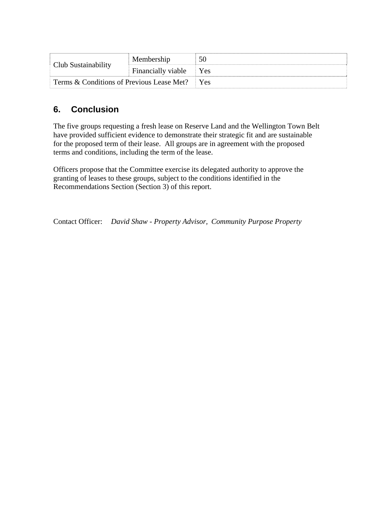| Club Sustainability                       | Membership         | 50              |
|-------------------------------------------|--------------------|-----------------|
|                                           | Financially viable | <b>Yes</b>      |
| Terms & Conditions of Previous Lease Met? |                    | $Y_{\text{es}}$ |

# **6. Conclusion**

The five groups requesting a fresh lease on Reserve Land and the Wellington Town Belt have provided sufficient evidence to demonstrate their strategic fit and are sustainable for the proposed term of their lease. All groups are in agreement with the proposed terms and conditions, including the term of the lease.

Officers propose that the Committee exercise its delegated authority to approve the granting of leases to these groups, subject to the conditions identified in the Recommendations Section (Section 3) of this report.

Contact Officer: *David Shaw - Property Advisor, Community Purpose Property*